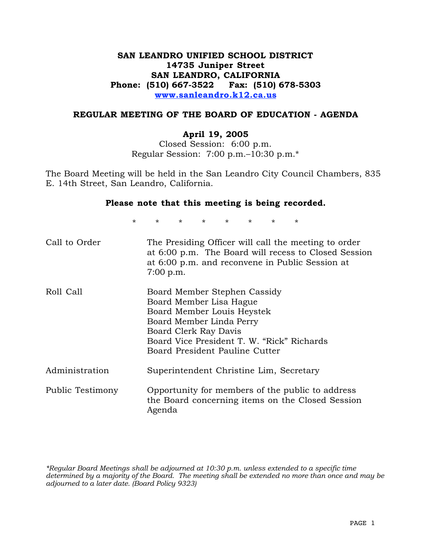## **SAN LEANDRO UNIFIED SCHOOL DISTRICT 14735 Juniper Street SAN LEANDRO, CALIFORNIA Phone: (510) 667-3522 Fax: (510) 678-5303 www.sanleandro.k12.ca.us**

### **REGULAR MEETING OF THE BOARD OF EDUCATION - AGENDA**

### **April 19, 2005**

Closed Session: 6:00 p.m. Regular Session: 7:00 p.m.–10:30 p.m.\*

The Board Meeting will be held in the San Leandro City Council Chambers, 835 E. 14th Street, San Leandro, California.

### **Please note that this meeting is being recorded.**

\* \* \* \* \* \* \* \*

| Call to Order    | The Presiding Officer will call the meeting to order<br>at 6:00 p.m. The Board will recess to Closed Session<br>at 6:00 p.m. and reconvene in Public Session at<br>$7:00$ p.m.                                             |
|------------------|----------------------------------------------------------------------------------------------------------------------------------------------------------------------------------------------------------------------------|
| Roll Call        | Board Member Stephen Cassidy<br>Board Member Lisa Hague<br>Board Member Louis Heystek<br>Board Member Linda Perry<br>Board Clerk Ray Davis<br>Board Vice President T. W. "Rick" Richards<br>Board President Pauline Cutter |
| Administration   | Superintendent Christine Lim, Secretary                                                                                                                                                                                    |
| Public Testimony | Opportunity for members of the public to address<br>the Board concerning items on the Closed Session<br>Agenda                                                                                                             |

*\*Regular Board Meetings shall be adjourned at 10:30 p.m. unless extended to a specific time determined by a majority of the Board. The meeting shall be extended no more than once and may be adjourned to a later date. (Board Policy 9323)*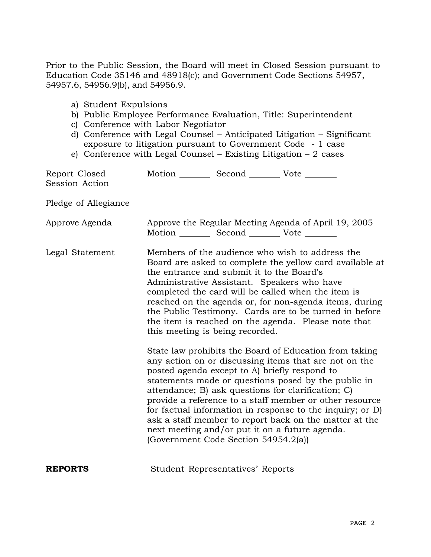Prior to the Public Session, the Board will meet in Closed Session pursuant to Education Code 35146 and 48918(c); and Government Code Sections 54957, 54957.6, 54956.9(b), and 54956.9.

- a) Student Expulsions
- b) Public Employee Performance Evaluation, Title: Superintendent
- c) Conference with Labor Negotiator
- d) Conference with Legal Counsel Anticipated Litigation Significant exposure to litigation pursuant to Government Code - 1 case
- e) Conference with Legal Counsel Existing Litigation 2 cases

| Report Closed<br>Session Action | Motion __________ Second ___________ Vote ________                                                                                                                                            |                                                                                                                                                                                                                                                                                                                                                          |
|---------------------------------|-----------------------------------------------------------------------------------------------------------------------------------------------------------------------------------------------|----------------------------------------------------------------------------------------------------------------------------------------------------------------------------------------------------------------------------------------------------------------------------------------------------------------------------------------------------------|
| Pledge of Allegiance            |                                                                                                                                                                                               |                                                                                                                                                                                                                                                                                                                                                          |
| Approve Agenda                  | Motion __________ Second __________ Vote ________                                                                                                                                             | Approve the Regular Meeting Agenda of April 19, 2005                                                                                                                                                                                                                                                                                                     |
| Legal Statement                 | the entrance and submit it to the Board's<br>Administrative Assistant. Speakers who have<br>this meeting is being recorded.                                                                   | Members of the audience who wish to address the<br>Board are asked to complete the yellow card available at<br>completed the card will be called when the item is<br>reached on the agenda or, for non-agenda items, during<br>the Public Testimony. Cards are to be turned in before<br>the item is reached on the agenda. Please note that             |
|                                 | posted agenda except to A) briefly respond to<br>attendance; B) ask questions for clarification; C)<br>next meeting and/or put it on a future agenda.<br>(Government Code Section 54954.2(a)) | State law prohibits the Board of Education from taking<br>any action on or discussing items that are not on the<br>statements made or questions posed by the public in<br>provide a reference to a staff member or other resource<br>for factual information in response to the inquiry; or D)<br>ask a staff member to report back on the matter at the |

**REPORTS** Student Representatives' Reports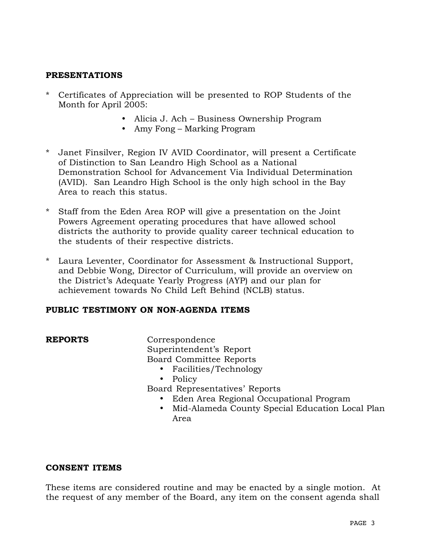## **PRESENTATIONS**

- \* Certificates of Appreciation will be presented to ROP Students of the Month for April 2005:
	- Alicia J. Ach Business Ownership Program
	- Amy Fong Marking Program
- Janet Finsilver, Region IV AVID Coordinator, will present a Certificate of Distinction to San Leandro High School as a National Demonstration School for Advancement Via Individual Determination (AVID). San Leandro High School is the only high school in the Bay Area to reach this status.
- \* Staff from the Eden Area ROP will give a presentation on the Joint Powers Agreement operating procedures that have allowed school districts the authority to provide quality career technical education to the students of their respective districts.
- \* Laura Leventer, Coordinator for Assessment & Instructional Support, and Debbie Wong, Director of Curriculum, will provide an overview on the District's Adequate Yearly Progress (AYP) and our plan for achievement towards No Child Left Behind (NCLB) status.

### **PUBLIC TESTIMONY ON NON-AGENDA ITEMS**

**REPORTS** Correspondence Superintendent's Report Board Committee Reports

- Facilities/Technology
- Policy

Board Representatives' Reports

- Eden Area Regional Occupational Program
- Mid-Alameda County Special Education Local Plan Area

### **CONSENT ITEMS**

These items are considered routine and may be enacted by a single motion. At the request of any member of the Board, any item on the consent agenda shall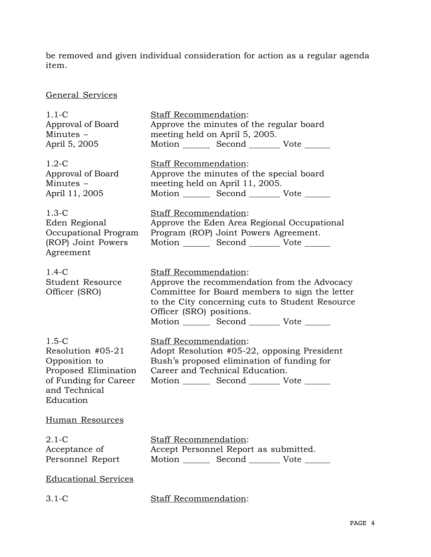be removed and given individual consideration for action as a regular agenda item.

General Services

| $1.1-C$<br>Approval of Board<br>Minutes $-$<br>April 5, 2005                                                                 | Staff Recommendation:<br>Approve the minutes of the regular board<br>meeting held on April 5, 2005.<br>Motion _________ Second ___________ Vote _______                                                                                                   |
|------------------------------------------------------------------------------------------------------------------------------|-----------------------------------------------------------------------------------------------------------------------------------------------------------------------------------------------------------------------------------------------------------|
| $1.2-C$<br>Approval of Board<br>Minutes -<br>April 11, 2005                                                                  | <b>Staff Recommendation:</b><br>Approve the minutes of the special board<br>meeting held on April 11, 2005.<br>Motion Second Vote _____                                                                                                                   |
| $1.3-C$<br>Eden Regional<br>Occupational Program<br>(ROP) Joint Powers<br>Agreement                                          | <b>Staff Recommendation:</b><br>Approve the Eden Area Regional Occupational<br>Program (ROP) Joint Powers Agreement.<br>Motion _________ Second __________ Vote _______                                                                                   |
| $1.4-C$<br>Student Resource<br>Officer (SRO)                                                                                 | Staff Recommendation:<br>Approve the recommendation from the Advocacy<br>Committee for Board members to sign the letter<br>to the City concerning cuts to Student Resource<br>Officer (SRO) positions.<br>Motion _________ Second __________ Vote _______ |
| $1.5-C$<br>Resolution #05-21<br>Opposition to<br>Proposed Elimination<br>of Funding for Career<br>and Technical<br>Education | <b>Staff Recommendation:</b><br>Adopt Resolution #05-22, opposing President<br>Bush's proposed elimination of funding for<br>Career and Technical Education.<br>Motion _________ Second ___________ Vote _______                                          |
| Human Resources                                                                                                              |                                                                                                                                                                                                                                                           |
| $2.1-C$<br>Acceptance of<br>Personnel Report                                                                                 | Staff Recommendation:<br>Accept Personnel Report as submitted.<br>Motion _________ Second __________ Vote _______                                                                                                                                         |
| <b>Educational Services</b>                                                                                                  |                                                                                                                                                                                                                                                           |
| $3.1-C$                                                                                                                      | <b>Staff Recommendation:</b>                                                                                                                                                                                                                              |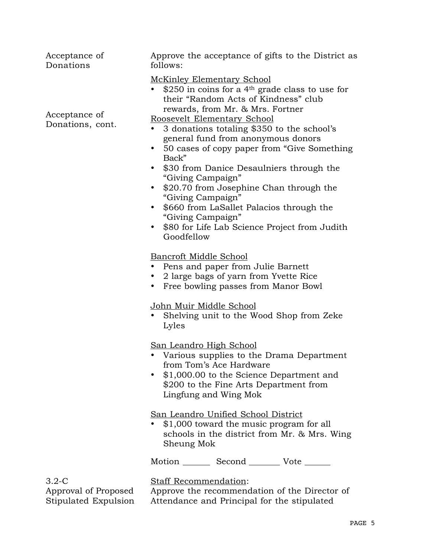| Acceptance of<br>Donations                              | Approve the acceptance of gifts to the District as<br>follows:                                                                                                                                                                                                                                                                                                                                                                                                                                                                                                                                                                                                                                  |  |
|---------------------------------------------------------|-------------------------------------------------------------------------------------------------------------------------------------------------------------------------------------------------------------------------------------------------------------------------------------------------------------------------------------------------------------------------------------------------------------------------------------------------------------------------------------------------------------------------------------------------------------------------------------------------------------------------------------------------------------------------------------------------|--|
| Acceptance of<br>Donations, cont.                       | <b>McKinley Elementary School</b><br>\$250 in coins for a 4 <sup>th</sup> grade class to use for<br>their "Random Acts of Kindness" club<br>rewards, from Mr. & Mrs. Fortner<br>Roosevelt Elementary School<br>3 donations totaling \$350 to the school's<br>$\bullet$<br>general fund from anonymous donors<br>50 cases of copy paper from "Give Something"<br>٠<br>Back"<br>\$30 from Danice Desaulniers through the<br>$\bullet$<br>"Giving Campaign"<br>\$20.70 from Josephine Chan through the<br>$\bullet$<br>"Giving Campaign"<br>\$660 from LaSallet Palacios through the<br>$\bullet$<br>"Giving Campaign"<br>\$80 for Life Lab Science Project from Judith<br>$\bullet$<br>Goodfellow |  |
|                                                         | Bancroft Middle School<br>Pens and paper from Julie Barnett<br>• 2 large bags of yarn from Yvette Rice<br>Free bowling passes from Manor Bowl<br>$\bullet$<br>John Muir Middle School<br>Shelving unit to the Wood Shop from Zeke<br>Lyles                                                                                                                                                                                                                                                                                                                                                                                                                                                      |  |
|                                                         | <u>San Leandro High School</u><br>Various supplies to the Drama Department<br>from Tom's Ace Hardware<br>\$1,000.00 to the Science Department and<br>\$200 to the Fine Arts Department from<br>Lingfung and Wing Mok                                                                                                                                                                                                                                                                                                                                                                                                                                                                            |  |
|                                                         | <u>San Leandro Unified School District</u><br>\$1,000 toward the music program for all<br>schools in the district from Mr. & Mrs. Wing<br>Sheung Mok                                                                                                                                                                                                                                                                                                                                                                                                                                                                                                                                            |  |
|                                                         | Motion _________ Second __________ Vote _______                                                                                                                                                                                                                                                                                                                                                                                                                                                                                                                                                                                                                                                 |  |
| $3.2-C$<br>Approval of Proposed<br>Stipulated Expulsion | <b>Staff Recommendation:</b><br>Approve the recommendation of the Director of<br>Attendance and Principal for the stipulated                                                                                                                                                                                                                                                                                                                                                                                                                                                                                                                                                                    |  |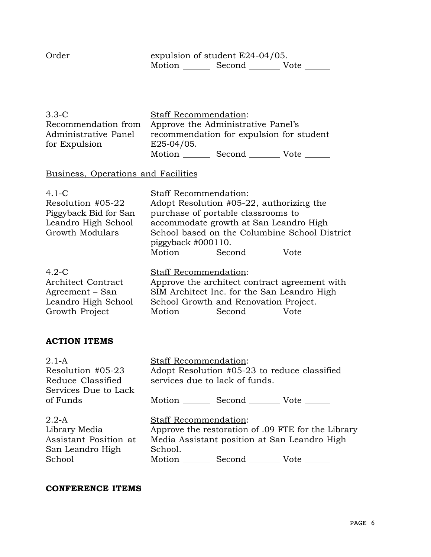Order expulsion of student E24-04/05. Motion \_\_\_\_\_\_\_\_\_ Second \_\_\_\_\_\_\_\_\_ Vote

| $3.3 - C$<br>Recommendation from<br>Administrative Panel<br>for Expulsion                        | <b>Staff Recommendation:</b><br>Approve the Administrative Panel's<br>recommendation for expulsion for student<br>E25-04/05.<br>Motion _________ Second __________ Vote _______                                                                                 |
|--------------------------------------------------------------------------------------------------|-----------------------------------------------------------------------------------------------------------------------------------------------------------------------------------------------------------------------------------------------------------------|
| Business, Operations and Facilities                                                              |                                                                                                                                                                                                                                                                 |
| $4.1-C$<br>Resolution #05-22<br>Piggyback Bid for San<br>Leandro High School<br>Growth Modulars  | <b>Staff Recommendation:</b><br>Adopt Resolution #05-22, authorizing the<br>purchase of portable classrooms to<br>accommodate growth at San Leandro High<br>School based on the Columbine School District<br>piggyback $\#000110$ .<br>Motion Second Vote _____ |
| $4.2-C$<br><b>Architect Contract</b><br>Agreement - San<br>Leandro High School<br>Growth Project | <b>Staff Recommendation:</b><br>Approve the architect contract agreement with<br>SIM Architect Inc. for the San Leandro High<br>School Growth and Renovation Project.<br>Motion _________ Second __________ Vote _______                                        |
| <b>ACTION ITEMS</b>                                                                              |                                                                                                                                                                                                                                                                 |
| $2.1-A$<br>Resolution #05-23<br>Reduce Classified<br>Services Due to Lack<br>of Funds            | <b>Staff Recommendation:</b><br>Adopt Resolution #05-23 to reduce classified<br>services due to lack of funds.<br>Motion Second Vote ______                                                                                                                     |
| $2.2-A$<br>Library Media<br>Assistant Position at<br>San Leandro High<br>School                  | <b>Staff Recommendation:</b><br>Approve the restoration of .09 FTE for the Library<br>Media Assistant position at San Leandro High<br>School.<br>Motion _________ Second __________ Vote                                                                        |

# **CONFERENCE ITEMS**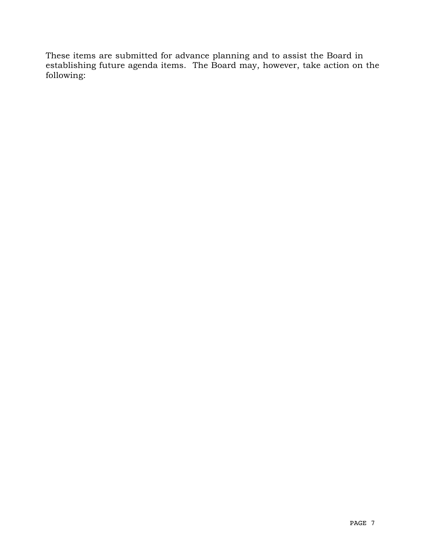These items are submitted for advance planning and to assist the Board in establishing future agenda items. The Board may, however, take action on the following: